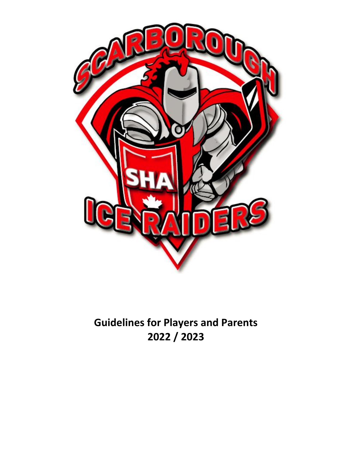

# **Guidelines for Players and Parents 2022 / 2023**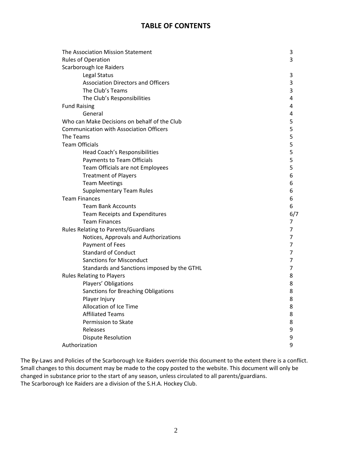# **TABLE OF CONTENTS**

| The Association Mission Statement              | 3   |
|------------------------------------------------|-----|
| <b>Rules of Operation</b>                      | 3   |
| Scarborough Ice Raiders                        |     |
| Legal Status                                   | 3   |
| <b>Association Directors and Officers</b>      | 3   |
| The Club's Teams                               | 3   |
| The Club's Responsibilities                    | 4   |
| <b>Fund Raising</b>                            | 4   |
| General                                        | 4   |
| Who can Make Decisions on behalf of the Club   | 5   |
| <b>Communication with Association Officers</b> | 5   |
| The Teams                                      | 5   |
| <b>Team Officials</b>                          | 5   |
| Head Coach's Responsibilities                  | 5   |
| Payments to Team Officials                     | 5   |
| Team Officials are not Employees               | 5   |
| <b>Treatment of Players</b>                    | 6   |
| <b>Team Meetings</b>                           | 6   |
| <b>Supplementary Team Rules</b>                | 6   |
| <b>Team Finances</b>                           | 6   |
| <b>Team Bank Accounts</b>                      | 6   |
| <b>Team Receipts and Expenditures</b>          | 6/7 |
| <b>Team Finances</b>                           | 7   |
| Rules Relating to Parents/Guardians            | 7   |
| Notices, Approvals and Authorizations          | 7   |
| Payment of Fees                                | 7   |
| <b>Standard of Conduct</b>                     | 7   |
| <b>Sanctions for Misconduct</b>                | 7   |
| Standards and Sanctions imposed by the GTHL    | 7   |
| <b>Rules Relating to Players</b>               | 8   |
| Players' Obligations                           | 8   |
| Sanctions for Breaching Obligations            | 8   |
| Player Injury                                  | 8   |
| Allocation of Ice Time                         |     |
|                                                | 8   |
| <b>Affiliated Teams</b>                        | 8   |
| Permission to Skate                            | 8   |
| Releases                                       | 9   |
| <b>Dispute Resolution</b>                      | 9   |

The By-Laws and Policies of the Scarborough Ice Raiders override this document to the extent there is a conflict. Small changes to this document may be made to the copy posted to the website. This document will only be changed in substance prior to the start of any season, unless circulated to all parents/guardians. The Scarborough Ice Raiders are a division of the S.H.A. Hockey Club.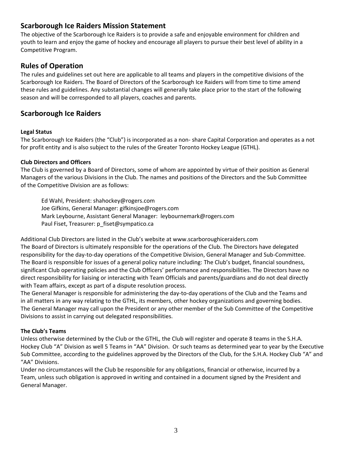# **Scarborough Ice Raiders Mission Statement**

The objective of the Scarborough Ice Raiders is to provide a safe and enjoyable environment for children and youth to learn and enjoy the game of hockey and encourage all players to pursue their best level of ability in a Competitive Program.

# **Rules of Operation**

The rules and guidelines set out here are applicable to all teams and players in the competitive divisions of the Scarborough Ice Raiders. The Board of Directors of the Scarborough Ice Raiders will from time to time amend these rules and guidelines. Any substantial changes will generally take place prior to the start of the following season and will be corresponded to all players, coaches and parents.

# **Scarborough Ice Raiders**

### **Legal Status**

The Scarborough Ice Raiders (the "Club") is incorporated as a non- share Capital Corporation and operates as a not for profit entity and is also subject to the rules of the Greater Toronto Hockey League (GTHL).

### **Club Directors and Officers**

The Club is governed by a Board of Directors, some of whom are appointed by virtue of their position as General Managers of the various Divisions in the Club. The names and positions of the Directors and the Sub Committee of the Competitive Division are as follows:

Ed Wahl, President: shahockey@rogers.com Joe Gifkins, General Manager: gifkinsjoe@rogers.com Mark Leybourne, Assistant General Manager: leybournemark@rogers.com Paul Fiset, Treasurer: p\_fiset@sympatico.ca

Additional Club Directors are listed in the Club's website at www.scarboroughiceraiders.com The Board of Directors is ultimately responsible for the operations of the Club. The Directors have delegated responsibility for the day-to-day operations of the Competitive Division, General Manager and Sub-Committee. The Board is responsible for issues of a general policy nature including: The Club's budget, financial soundness, significant Club operating policies and the Club Officers' performance and responsibilities. The Directors have no direct responsibility for liaising or interacting with Team Officials and parents/guardians and do not deal directly with Team affairs, except as part of a dispute resolution process.

The General Manager is responsible for administering the day-to-day operations of the Club and the Teams and in all matters in any way relating to the GTHL, its members, other hockey organizations and governing bodies. The General Manager may call upon the President or any other member of the Sub Committee of the Competitive Divisions to assist in carrying out delegated responsibilities.

### **The Club's Teams**

Unless otherwise determined by the Club or the GTHL, the Club will register and operate 8 teams in the S.H.A. Hockey Club "A" Division as well 5 Teams in "AA" Division. Or such teams as determined year to year by the Executive Sub Committee, according to the guidelines approved by the Directors of the Club, for the S.H.A. Hockey Club "A" and "AA" Divisions.

Under no circumstances will the Club be responsible for any obligations, financial or otherwise, incurred by a Team, unless such obligation is approved in writing and contained in a document signed by the President and General Manager.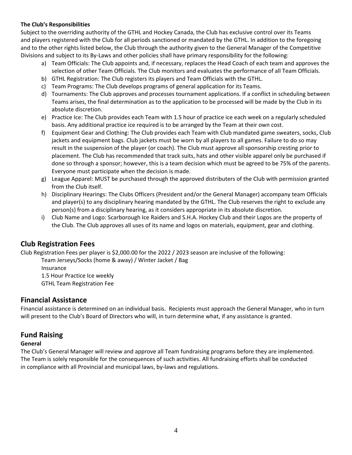### **The Club's Responsibilities**

Subject to the overriding authority of the GTHL and Hockey Canada, the Club has exclusive control over its Teams and players registered with the Club for all periods sanctioned or mandated by the GTHL. In addition to the foregoing and to the other rights listed below, the Club through the authority given to the General Manager of the Competitive Divisions and subject to its By-Laws and other policies shall have primary responsibility for the following:

- a) Team Officials: The Club appoints and, if necessary, replaces the Head Coach of each team and approves the selection of other Team Officials. The Club monitors and evaluates the performance of all Team Officials.
- b) GTHL Registration: The Club registers its players and Team Officials with the GTHL.
- c) Team Programs: The Club develops programs of general application for its Teams.
- d) Tournaments: The Club approves and processes tournament applications. If a conflict in scheduling between Teams arises, the final determination as to the application to be processed will be made by the Club in its absolute discretion.
- e) Practice Ice: The Club provides each Team with 1.5 hour of practice ice each week on a regularly scheduled basis. Any additional practice ice required is to be arranged by the Team at their own cost.
- f) Equipment Gear and Clothing: The Club provides each Team with Club mandated game sweaters, socks, Club jackets and equipment bags. Club jackets must be worn by all players to all games. Failure to do so may result in the suspension of the player (or coach). The Club must approve all sponsorship cresting prior to placement. The Club has recommended that track suits, hats and other visible apparel only be purchased if done so through a sponsor; however, this is a team decision which must be agreed to be 75% of the parents. Everyone must participate when the decision is made.
- g) League Apparel: MUST be purchased through the approved distributers of the Club with permission granted from the Club itself.
- h) Disciplinary Hearings: The Clubs Officers (President and/or the General Manager) accompany team Officials and player(s) to any disciplinary hearing mandated by the GTHL. The Club reserves the right to exclude any person(s) from a disciplinary hearing, as it considers appropriate in its absolute discretion.
- i) Club Name and Logo: Scarborough Ice Raiders and S.H.A. Hockey Club and their Logos are the property of the Club. The Club approves all uses of its name and logos on materials, equipment, gear and clothing.

# **Club Registration Fees**

Club Registration Fees per player is \$2,000.00 for the 2022 / 2023 season are inclusive of the following:

Team Jerseys/Socks (home & away) / Winter Jacket / Bag Insurance

1.5 Hour Practice Ice weekly

GTHL Team Registration Fee

### **Financial Assistance**

Financial assistance is determined on an individual basis. Recipients must approach the General Manager, who in turn will present to the Club's Board of Directors who will, in turn determine what, if any assistance is granted.

### **Fund Raising**

### **General**

The Club's General Manager will review and approve all Team fundraising programs before they are implemented. The Team is solely responsible for the consequences of such activities. All fundraising efforts shall be conducted in compliance with all Provincial and municipal laws, by-laws and regulations.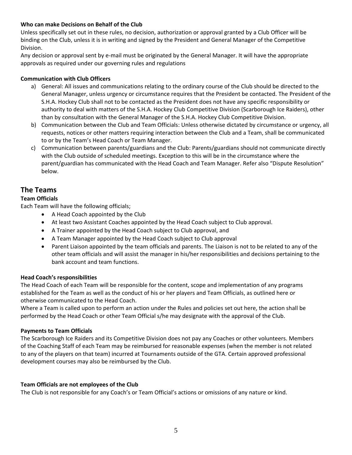### **Who can make Decisions on Behalf of the Club**

Unless specifically set out in these rules, no decision, authorization or approval granted by a Club Officer will be binding on the Club, unless it is in writing and signed by the President and General Manager of the Competitive Division.

Any decision or approval sent by e-mail must be originated by the General Manager. It will have the appropriate approvals as required under our governing rules and regulations

### **Communication with Club Officers**

- a) General: All issues and communications relating to the ordinary course of the Club should be directed to the General Manager, unless urgency or circumstance requires that the President be contacted. The President of the S.H.A. Hockey Club shall not to be contacted as the President does not have any specific responsibility or authority to deal with matters of the S.H.A. Hockey Club Competitive Division (Scarborough Ice Raiders), other than by consultation with the General Manager of the S.H.A. Hockey Club Competitive Division.
- b) Communication between the Club and Team Officials: Unless otherwise dictated by circumstance or urgency, all requests, notices or other matters requiring interaction between the Club and a Team, shall be communicated to or by the Team's Head Coach or Team Manager.
- c) Communication between parents/guardians and the Club: Parents/guardians should not communicate directly with the Club outside of scheduled meetings. Exception to this will be in the circumstance where the parent/guardian has communicated with the Head Coach and Team Manager. Refer also "Dispute Resolution" below.

### **The Teams**

### **Team Officials**

Each Team will have the following officials;

- A Head Coach appointed by the Club
- At least two Assistant Coaches appointed by the Head Coach subject to Club approval.
- A Trainer appointed by the Head Coach subject to Club approval, and
- A Team Manager appointed by the Head Coach subject to Club approval
- Parent Liaison appointed by the team officials and parents. The Liaison is not to be related to any of the other team officials and will assist the manager in his/her responsibilities and decisions pertaining to the bank account and team functions.

### **Head Coach's responsibilities**

The Head Coach of each Team will be responsible for the content, scope and implementation of any programs established for the Team as well as the conduct of his or her players and Team Officials, as outlined here or otherwise communicated to the Head Coach.

Where a Team is called upon to perform an action under the Rules and policies set out here, the action shall be performed by the Head Coach or other Team Official s/he may designate with the approval of the Club.

### **Payments to Team Officials**

The Scarborough Ice Raiders and its Competitive Division does not pay any Coaches or other volunteers. Members of the Coaching Staff of each Team may be reimbursed for reasonable expenses (when the member is not related to any of the players on that team) incurred at Tournaments outside of the GTA. Certain approved professional development courses may also be reimbursed by the Club.

### **Team Officials are not employees of the Club**

The Club is not responsible for any Coach's or Team Official's actions or omissions of any nature or kind.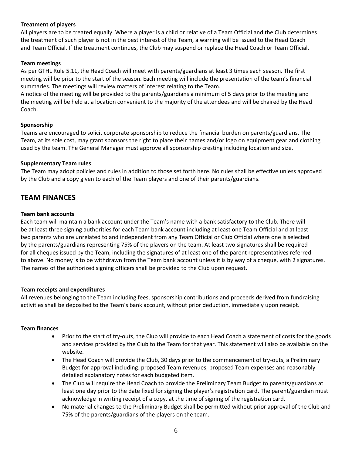### **Treatment of players**

All players are to be treated equally. Where a player is a child or relative of a Team Official and the Club determines the treatment of such player is not in the best interest of the Team, a warning will be issued to the Head Coach and Team Official. If the treatment continues, the Club may suspend or replace the Head Coach or Team Official.

### **Team meetings**

As per GTHL Rule 5.11, the Head Coach will meet with parents/guardians at least 3 times each season. The first meeting will be prior to the start of the season. Each meeting will include the presentation of the team's financial summaries. The meetings will review matters of interest relating to the Team.

A notice of the meeting will be provided to the parents/guardians a minimum of 5 days prior to the meeting and the meeting will be held at a location convenient to the majority of the attendees and will be chaired by the Head Coach.

### **Sponsorship**

Teams are encouraged to solicit corporate sponsorship to reduce the financial burden on parents/guardians. The Team, at its sole cost, may grant sponsors the right to place their names and/or logo on equipment gear and clothing used by the team. The General Manager must approve all sponsorship cresting including location and size.

### **Supplementary Team rules**

The Team may adopt policies and rules in addition to those set forth here. No rules shall be effective unless approved by the Club and a copy given to each of the Team players and one of their parents/guardians.

### **TEAM FINANCES**

### **Team bank accounts**

Each team will maintain a bank account under the Team's name with a bank satisfactory to the Club. There will be at least three signing authorities for each Team bank account including at least one Team Official and at least two parents who are unrelated to and independent from any Team Official or Club Official where one is selected by the parents/guardians representing 75% of the players on the team. At least two signatures shall be required for all cheques issued by the Team, including the signatures of at least one of the parent representatives referred to above. No money is to be withdrawn from the Team bank account unless it is by way of a cheque, with 2 signatures. The names of the authorized signing officers shall be provided to the Club upon request.

### **Team receipts and expenditures**

All revenues belonging to the Team including fees, sponsorship contributions and proceeds derived from fundraising activities shall be deposited to the Team's bank account, without prior deduction, immediately upon receipt.

### **Team finances**

- Prior to the start of try-outs, the Club will provide to each Head Coach a statement of costs for the goods and services provided by the Club to the Team for that year. This statement will also be available on the website.
- The Head Coach will provide the Club, 30 days prior to the commencement of try-outs, a Preliminary Budget for approval including: proposed Team revenues, proposed Team expenses and reasonably detailed explanatory notes for each budgeted item.
- The Club will require the Head Coach to provide the Preliminary Team Budget to parents/guardians at least one day prior to the date fixed for signing the player's registration card. The parent/guardian must acknowledge in writing receipt of a copy, at the time of signing of the registration card.
- No material changes to the Preliminary Budget shall be permitted without prior approval of the Club and 75% of the parents/guardians of the players on the team.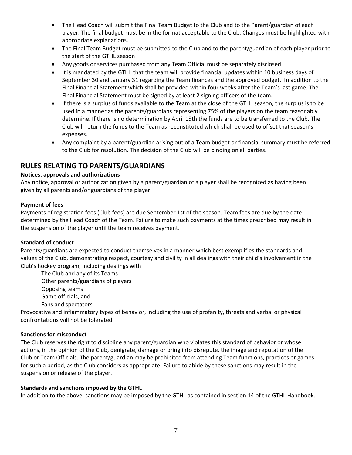- The Head Coach will submit the Final Team Budget to the Club and to the Parent/guardian of each player. The final budget must be in the format acceptable to the Club. Changes must be highlighted with appropriate explanations.
- The Final Team Budget must be submitted to the Club and to the parent/guardian of each player prior to the start of the GTHL season
- Any goods or services purchased from any Team Official must be separately disclosed.
- It is mandated by the GTHL that the team will provide financial updates within 10 business days of September 30 and January 31 regarding the Team finances and the approved budget. In addition to the Final Financial Statement which shall be provided within four weeks after the Team's last game. The Final Financial Statement must be signed by at least 2 signing officers of the team.
- If there is a surplus of funds available to the Team at the close of the GTHL season, the surplus is to be used in a manner as the parents/guardians representing 75% of the players on the team reasonably determine. If there is no determination by April 15th the funds are to be transferred to the Club. The Club will return the funds to the Team as reconstituted which shall be used to offset that season's expenses.
- Any complaint by a parent/guardian arising out of a Team budget or financial summary must be referred to the Club for resolution. The decision of the Club will be binding on all parties.

# **RULES RELATING TO PARENTS/GUARDIANS**

### **Notices, approvals and authorizations**

Any notice, approval or authorization given by a parent/guardian of a player shall be recognized as having been given by all parents and/or guardians of the player.

### **Payment of fees**

Payments of registration fees (Club fees) are due September 1st of the season. Team fees are due by the date determined by the Head Coach of the Team. Failure to make such payments at the times prescribed may result in the suspension of the player until the team receives payment.

### **Standard of conduct**

Parents/guardians are expected to conduct themselves in a manner which best exemplifies the standards and values of the Club, demonstrating respect, courtesy and civility in all dealings with their child's involvement in the Club's hockey program, including dealings with

The Club and any of its Teams Other parents/guardians of players Opposing teams Game officials, and Fans and spectators

Provocative and inflammatory types of behavior, including the use of profanity, threats and verbal or physical confrontations will not be tolerated.

### **Sanctions for misconduct**

The Club reserves the right to discipline any parent/guardian who violates this standard of behavior or whose actions, in the opinion of the Club, denigrate, damage or bring into disrepute, the image and reputation of the Club or Team Officials. The parent/guardian may be prohibited from attending Team functions, practices or games for such a period, as the Club considers as appropriate. Failure to abide by these sanctions may result in the suspension or release of the player.

### **Standards and sanctions imposed by the GTHL**

In addition to the above, sanctions may be imposed by the GTHL as contained in section 14 of the GTHL Handbook.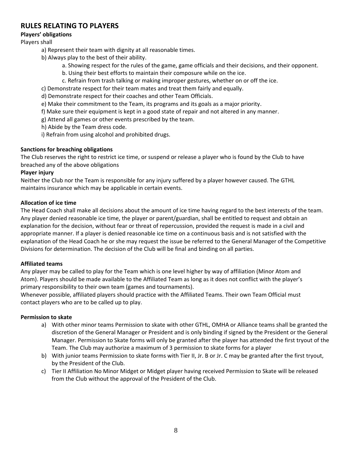# **RULES RELATING TO PLAYERS**

### **Players' obligations**

### Players shall

- a) Represent their team with dignity at all reasonable times.
- b) Always play to the best of their ability.
	- a. Showing respect for the rules of the game, game officials and their decisions, and their opponent.
	- b. Using their best efforts to maintain their composure while on the ice.
	- c. Refrain from trash talking or making improper gestures, whether on or off the ice.
- c) Demonstrate respect for their team mates and treat them fairly and equally.
- d) Demonstrate respect for their coaches and other Team Officials.
- e) Make their commitment to the Team, its programs and its goals as a major priority.
- f) Make sure their equipment is kept in a good state of repair and not altered in any manner.
- g) Attend all games or other events prescribed by the team.
- h) Abide by the Team dress code.
- i) Refrain from using alcohol and prohibited drugs.

### **Sanctions for breaching obligations**

The Club reserves the right to restrict ice time, or suspend or release a player who is found by the Club to have breached any of the above obligations

### **Player injury**

Neither the Club nor the Team is responsible for any injury suffered by a player however caused. The GTHL maintains insurance which may be applicable in certain events.

### **Allocation of ice time**

The Head Coach shall make all decisions about the amount of ice time having regard to the best interests of the team. Any player denied reasonable ice time, the player or parent/guardian, shall be entitled to request and obtain an explanation for the decision, without fear or threat of repercussion, provided the request is made in a civil and appropriate manner. If a player is denied reasonable ice time on a continuous basis and is not satisfied with the explanation of the Head Coach he or she may request the issue be referred to the General Manager of the Competitive Divisions for determination. The decision of the Club will be final and binding on all parties.

### **Affiliated teams**

Any player may be called to play for the Team which is one level higher by way of affiliation (Minor Atom and Atom). Players should be made available to the Affiliated Team as long as it does not conflict with the player's primary responsibility to their own team (games and tournaments).

Whenever possible, affiliated players should practice with the Affiliated Teams. Their own Team Official must contact players who are to be called up to play.

### **Permission to skate**

- a) With other minor teams Permission to skate with other GTHL, OMHA or Alliance teams shall be granted the discretion of the General Manager or President and is only binding if signed by the President or the General Manager. Permission to Skate forms will only be granted after the player has attended the first tryout of the Team. The Club may authorize a maximum of 3 permission to skate forms for a player
- b) With junior teams Permission to skate forms with Tier II, Jr. B or Jr. C may be granted after the first tryout, by the President of the Club.
- c) Tier II Affiliation No Minor Midget or Midget player having received Permission to Skate will be released from the Club without the approval of the President of the Club.